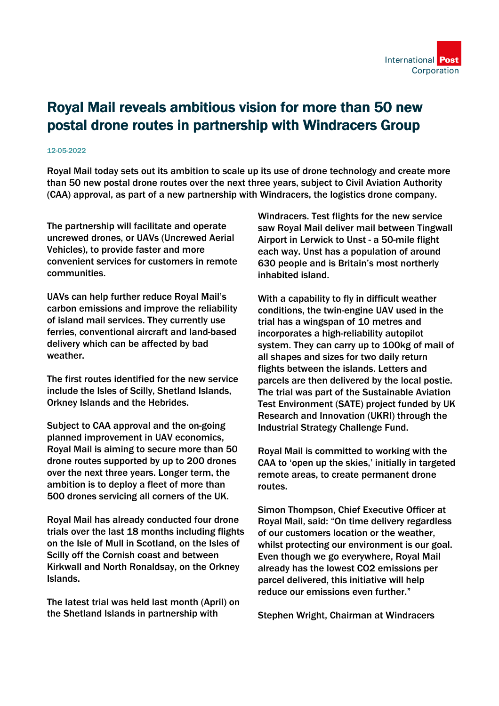

## Royal Mail reveals ambitious vision for more than 50 new postal drone routes in partnership with Windracers Group

## 12-05-2022

Royal Mail today sets out its ambition to scale up its use of drone technology and create more than 50 new postal drone routes over the next three years, subject to Civil Aviation Authority (CAA) approval, as part of a new partnership with Windracers, the logistics drone company.

The partnership will facilitate and operate uncrewed drones, or UAVs (Uncrewed Aerial Vehicles), to provide faster and more convenient services for customers in remote communities.

UAVs can help further reduce Royal Mail's carbon emissions and improve the reliability of island mail services. They currently use ferries, conventional aircraft and land-based delivery which can be affected by bad weather.

The first routes identified for the new service include the Isles of Scilly, Shetland Islands, Orkney Islands and the Hebrides.

Subject to CAA approval and the on-going planned improvement in UAV economics, Royal Mail is aiming to secure more than 50 drone routes supported by up to 200 drones over the next three years. Longer term, the ambition is to deploy a fleet of more than 500 drones servicing all corners of the UK.

Royal Mail has already conducted four drone trials over the last 18 months including flights on the Isle of Mull in Scotland, on the Isles of Scilly off the Cornish coast and between Kirkwall and North Ronaldsay, on the Orkney Islands.

The latest trial was held last month (April) on the Shetland Islands in partnership with

Windracers. Test flights for the new service saw Royal Mail deliver mail between Tingwall Airport in Lerwick to Unst - a 50-mile flight each way. Unst has a population of around 630 people and is Britain's most northerly inhabited island.

With a capability to fly in difficult weather conditions, the twin-engine UAV used in the trial has a wingspan of 10 metres and incorporates a high-reliability autopilot system. They can carry up to 100kg of mail of all shapes and sizes for two daily return flights between the islands. Letters and parcels are then delivered by the local postie. The trial was part of the Sustainable Aviation Test Environment (SATE) project funded by UK Research and Innovation (UKRI) through the Industrial Strategy Challenge Fund.

Royal Mail is committed to working with the CAA to 'open up the skies,' initially in targeted remote areas, to create permanent drone routes.

Simon Thompson, Chief Executive Officer at Royal Mail, said: "On time delivery regardless of our customers location or the weather, whilst protecting our environment is our goal. Even though we go everywhere, Royal Mail already has the lowest CO2 emissions per parcel delivered, this initiative will help reduce our emissions even further."

Stephen Wright, Chairman at Windracers